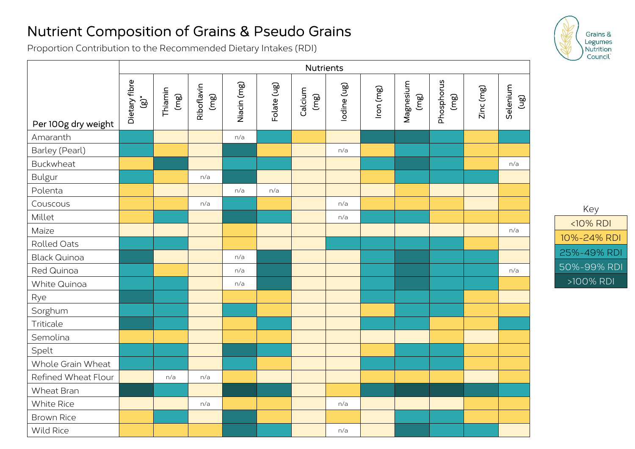## Nutrient Composition of Grains & Pseudo Grains

Proportion Contribution to the Recommended Dietary Intakes (RDI)

|                     | <b>Nutrients</b>            |                 |                    |             |             |                 |             |           |                   |                   |           |                               |
|---------------------|-----------------------------|-----------------|--------------------|-------------|-------------|-----------------|-------------|-----------|-------------------|-------------------|-----------|-------------------------------|
| Per 100g dry weight | Dietary fibre<br>$\ddot{9}$ | Thiamin<br>(mg) | Riboflavin<br>(mg) | Niacin (mg) | Folate (ug) | Calcium<br>(mg) | lodine (ug) | lron (mg) | Magnesium<br>(mg) | Phosphorus<br>@u) | Zinc (mg) | Selenium<br>$\widetilde{\Xi}$ |
| Amaranth            |                             |                 |                    | n/a         |             |                 |             |           |                   |                   |           |                               |
| Barley (Pearl)      |                             |                 |                    |             |             |                 | n/a         |           |                   |                   |           |                               |
| Buckwheat           |                             |                 |                    |             |             |                 |             |           |                   |                   |           | n/a                           |
| <b>Bulgur</b>       |                             |                 | n/a                |             |             |                 |             |           |                   |                   |           |                               |
| Polenta             |                             |                 |                    | n/a         | n/a         |                 |             |           |                   |                   |           |                               |
| Couscous            |                             |                 | n/a                |             |             |                 | n/a         |           |                   |                   |           |                               |
| Millet              |                             |                 |                    |             |             |                 | n/a         |           |                   |                   |           |                               |
| Maize               |                             |                 |                    |             |             |                 |             |           |                   |                   |           | n/a                           |
| Rolled Oats         |                             |                 |                    |             |             |                 |             |           |                   |                   |           |                               |
| <b>Black Quinoa</b> |                             |                 |                    | n/a         |             |                 |             |           |                   |                   |           |                               |
| Red Quinoa          |                             |                 |                    | n/a         |             |                 |             |           |                   |                   |           | n/a                           |
| White Quinoa        |                             |                 |                    | n/a         |             |                 |             |           |                   |                   |           |                               |
| Rye                 |                             |                 |                    |             |             |                 |             |           |                   |                   |           |                               |
| Sorghum             |                             |                 |                    |             |             |                 |             |           |                   |                   |           |                               |
| Triticale           |                             |                 |                    |             |             |                 |             |           |                   |                   |           |                               |
| Semolina            |                             |                 |                    |             |             |                 |             |           |                   |                   |           |                               |
| Spelt               |                             |                 |                    |             |             |                 |             |           |                   |                   |           |                               |
| Whole Grain Wheat   |                             |                 |                    |             |             |                 |             |           |                   |                   |           |                               |
| Refined Wheat Flour |                             | n/a             | n/a                |             |             |                 |             |           |                   |                   |           |                               |
| Wheat Bran          |                             |                 |                    |             |             |                 |             |           |                   |                   |           |                               |
| White Rice          |                             |                 | n/a                |             |             |                 | n/a         |           |                   |                   |           |                               |
| <b>Brown Rice</b>   |                             |                 |                    |             |             |                 |             |           |                   |                   |           |                               |
| Wild Rice           |                             |                 |                    |             |             |                 | n/a         |           |                   |                   |           |                               |



Key <10% RDI 10%-24% RDI 25%-49% RDI 50%-99% RDI >100% RDI